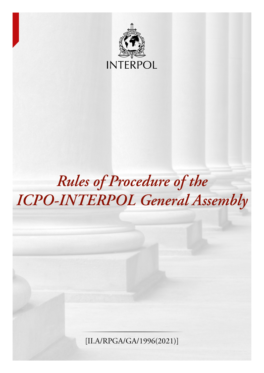

# *Rules of Procedure of the ICPO-INTERPOL General Assembly*

[II.A/RPGA/GA/1996(2021)]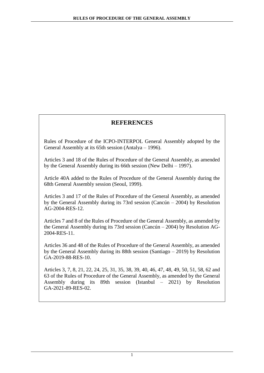# **REFERENCES**

Rules of Procedure of the ICPO-INTERPOL General Assembly adopted by the General Assembly at its 65th session (Antalya – 1996).

Articles 3 and 18 of the Rules of Procedure of the General Assembly, as amended by the General Assembly during its 66th session (New Delhi – 1997).

Article 40A added to the Rules of Procedure of the General Assembly during the 68th General Assembly session (Seoul, 1999).

Articles 3 and 17 of the Rules of Procedure of the General Assembly, as amended by the General Assembly during its 73rd session (Cancún – 2004) by Resolution AG-2004-RES-12.

Articles 7 and 8 of the Rules of Procedure of the General Assembly, as amended by the General Assembly during its 73rd session (Cancún – 2004) by Resolution AG-2004-RES-11.

Articles 36 and 48 of the Rules of Procedure of the General Assembly, as amended by the General Assembly during its 88th session (Santiago – 2019) by Resolution GA-2019-88-RES-10.

Articles 3, 7, 8, 21, 22, 24, 25, 31, 35, 38, 39, 40, 46, 47, 48, 49, 50, 51, 58, 62 and 63 of the Rules of Procedure of the General Assembly, as amended by the General Assembly during its 89th session (Istanbul – 2021) by Resolution GA-2021-89-RES-02.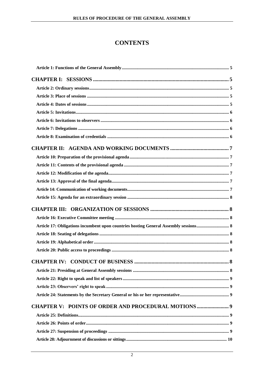# **CONTENTS**

| Article 17: Obligations incumbent upon countries hosting General Assembly sessions 8 |   |
|--------------------------------------------------------------------------------------|---|
|                                                                                      |   |
|                                                                                      |   |
|                                                                                      |   |
|                                                                                      | 8 |
|                                                                                      |   |
|                                                                                      |   |
|                                                                                      |   |
|                                                                                      |   |
| CHAPTER V: POINTS OF ORDER AND PROCEDURAL MOTIONS9                                   |   |
|                                                                                      |   |
|                                                                                      |   |
|                                                                                      |   |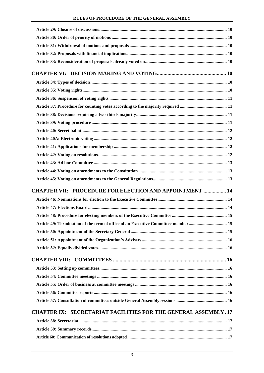# **RULES OF PROCEDURE OF THE GENERAL ASSEMBLY**

| <b>CHAPTER VII: PROCEDURE FOR ELECTION AND APPOINTMENT  14</b>                 |      |
|--------------------------------------------------------------------------------|------|
|                                                                                |      |
|                                                                                |      |
|                                                                                |      |
| Article 49: Termination of the term of office of an Executive Committee member | . 15 |
|                                                                                |      |
|                                                                                |      |
|                                                                                |      |
|                                                                                |      |
|                                                                                |      |
|                                                                                |      |
|                                                                                |      |
|                                                                                |      |
|                                                                                |      |
| <b>CHAPTER IX: SECRETARIAT FACILITIES FOR THE GENERAL ASSEMBLY.17</b>          |      |
|                                                                                |      |
|                                                                                |      |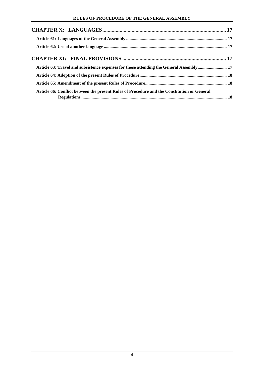| Article 63: Travel and subsistence expenses for those attending the General Assembly 17     |  |
|---------------------------------------------------------------------------------------------|--|
|                                                                                             |  |
|                                                                                             |  |
| Article 66: Conflict between the present Rules of Procedure and the Constitution or General |  |
|                                                                                             |  |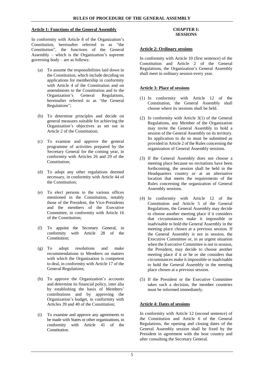# <span id="page-5-0"></span>**Article 1: Functions of the General Assembly**

In conformity with Article 8 of the Organization's Constitution, hereinafter referred to as "the Constitution", the functions of the General Assembly – which is the Organization's supreme governing body – are as follows:

- (a) To assume the responsibilities laid down in the Constitution, which include deciding on applications for membership in conformity with Article 4 of the Constitution and on amendments to the Constitution and to the Organization's General Regulations, hereinafter referred to as "the General Regulations";
- (b) To determine principles and decide on general measures suitable for achieving the Organization's objectives as set out in Article 2 of the Constitution;
- (c) To examine and approve the general programme of activities prepared by the Secretary General for the coming year, in conformity with Articles 26 and 29 of the Constitution;
- (d) To adopt any other regulations deemed necessary, in conformity with Article 44 of the Constitution;
- (e) To elect persons to the various offices mentioned in the Constitution, notably those of the President, the Vice-Presidents and the members of the Executive Committee, in conformity with Article 16 of the Constitution;
- (f) To appoint the Secretary General, in conformity with Article 28 of the Constitution;
- (g) To adopt resolutions and make recommendations to Members on matters with which the Organization is competent to deal, in conformity with Article 17 of the General Regulations;
- (h) To approve the Organization's accounts and determine its financial policy, inter alia by establishing the basis of Members' contributions and by approving the Organization's budget, in conformity with Articles 39 and 40 of the Constitution;
- (i) To examine and approve any agreements to be made with States or other organizations, in conformity with Article 41 of the Constitution.

# **CHAPTER I: SESSIONS**

# <span id="page-5-2"></span><span id="page-5-1"></span>**Article 2: Ordinary sessions**

In conformity with Article 10 (first sentence) of the Constitution and Article 2 of the General Regulations, the Organization's General Assembly shall meet in ordinary session every year.

# <span id="page-5-3"></span>**Article 3: Place of sessions**

- (1) In conformity with Article 12 of the Constitution, the General Assembly shall choose where its sessions shall be held.
- (2) In conformity with Article 3(1) of the General Regulations, any Member of the Organization may invite the General Assembly to hold a session of the General Assembly on its territory. Its application to do so must be submitted as provided in Article 2 of the Rules concerning the organization of General Assembly sessions.
- (3) If the General Assembly does not choose a meeting place because no invitations have been forthcoming, the session shall be held in the Headquarters country or at an alternative location that meets the requirements of the Rules concerning the organization of General Assembly sessions.
- (4) In conformity with Article 12 of the Constitution and Article 5 of the General Regulations, the General Assembly may decide to choose another meeting place if it considers that circumstances make it impossible or inadvisable to hold the General Assembly in the meeting place chosen at a previous session. If the General Assembly is not in session, the Executive Committee or, in an urgent situation when the Executive Committee is not in session, the President, may decide to choose another meeting place if it or he or she considers that circumstances make it impossible or inadvisable to hold the General Assembly in the meeting place chosen at a previous session.
- (5) If the President or the Executive Committee takes such a decision, the member countries must be informed immediately.

# <span id="page-5-4"></span>**Article 4: Dates of sessions**

In conformity with Article 12 (second sentence) of the Constitution and Article 6 of the General Regulations, the opening and closing dates of the General Assembly session shall be fixed by the President in agreement with the host country and after consulting the Secretary General.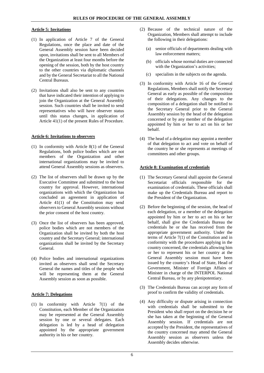# <span id="page-6-0"></span>**Article 5: Invitations**

- (1) In application of Article 7 of the General Regulations, once the place and date of the General Assembly session have been decided upon, invitations shall be sent to all Members of the Organization at least four months before the opening of the session, both by the host country to the other countries via diplomatic channels and by the General Secretariat to all the National Central Bureaus.
- (2) Invitations shall also be sent to any countries that have indicated their intention of applying to join the Organization at the General Assembly session. Such countries shall be invited to send representatives who will have observer status until this status changes, in application of Article 41(1) of the present Rules of Procedure.

# <span id="page-6-1"></span>**Article 6: Invitations to observers**

- (1) In conformity with Article 8(1) of the General Regulations, both police bodies which are not members of the Organization and other international organizations may be invited to attend General Assembly sessions as observers.
- (2) The list of observers shall be drawn up by the Executive Committee and submitted to the host country for approval. However, international organizations with which the Organization has concluded an agreement in application of Article 41(1) of the Constitution may send observers to General Assembly sessions without the prior consent of the host country.
- (3) Once the list of observers has been approved, police bodies which are not members of the Organization shall be invited by both the host country and the Secretary General; international organizations shall be invited by the Secretary General.
- (4) Police bodies and international organizations invited as observers shall send the Secretary General the names and titles of the people who will be representing them at the General Assembly session as soon as possible.

# <span id="page-6-2"></span>**Article 7: Delegations**

(1) In conformity with Article 7(1) of the Constitution, each Member of the Organization may be represented at the General Assembly session by one or several delegates. Each delegation is led by a head of delegation appointed by the appropriate government authority in his or her country.

- (2) Because of the technical nature of the Organization, Members shall attempt to include the following in their delegations:
	- (a) senior officials of departments dealing with law enforcement matters;
	- (b) officials whose normal duties are connected with the Organization's activities;
	- (c) specialists in the subjects on the agenda.
- (3) In conformity with Article 16 of the General Regulations, Members shall notify the Secretary General as early as possible of the composition of their delegations. Any changes to the composition of a delegation shall be notified to the Secretary General prior to the General Assembly session by the head of the delegation concerned or by any member of the delegation appointed by him or her to act on his or her behalf.
- (4) The head of a delegation may appoint a member of that delegation to act and vote on behalf of the country he or she represents at meetings of committees and other groups.

# <span id="page-6-3"></span>**Article 8: Examination of credentials**

- (1) The Secretary General shall appoint the General Secretariat officials responsible for the examination of credentials. These officials shall make up the Credentials Bureau and report to the President of the Organization.
- (2) Before the beginning of the session, the head of each delegation, or a member of the delegation appointed by him or her to act on his or her behalf, shall give the Credentials Bureau the credentials he or she has received from the appropriate government authority. Under the terms of Article 7(1) of the Constitution and in conformity with the procedures applying in the country concerned, the credentials allowing him or her to represent his or her country at the General Assembly session must have been issued by the country's Head of State, Head of Government, Minister of Foreign Affairs or Minister in charge of the INTERPOL National Central Bureau, or by any plenipotentiary.
- (3) The Credentials Bureau can accept any form of proof to confirm the validity of credentials.
- (4) Any difficulty or dispute arising in connection with credentials shall be submitted to the President who shall report on the decision he or she has taken at the beginning of the General Assembly session. If credentials are not accepted by the President, the representatives of the country concerned may attend the General Assembly session as observers unless the Assembly decides otherwise.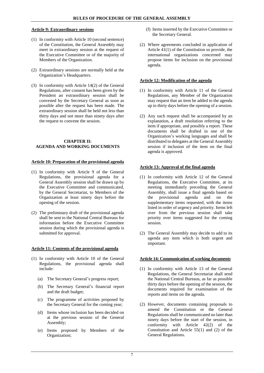# **Article 9: Extraordinary sessions**

- (1) In conformity with Article 10 (second sentence) of the Constitution, the General Assembly may meet in extraordinary session at the request of the Executive Committee or of the majority of Members of the Organization.
- (2) Extraordinary sessions are normally held at the Organization's Headquarters.
- (3) In conformity with Article 14(2) of the General Regulations, after consent has been given by the President an extraordinary session shall be convened by the Secretary General as soon as possible after the request has been made. The extraordinary session shall be held not less than thirty days and not more than ninety days after the request to convene the session.

#### <span id="page-7-0"></span>**CHAPTER II: AGENDA AND WORKING DOCUMENTS**

#### <span id="page-7-1"></span>**Article 10: Preparation of the provisional agenda**

- (1) In conformity with Article 9 of the General Regulations, the provisional agenda for a General Assembly session shall be drawn up by the Executive Committee and communicated, by the General Secretariat, to Members of the Organization at least ninety days before the opening of the session.
- (2) The preliminary draft of the provisional agenda shall be sent to the National Central Bureaus for information before the Executive Committee session during which the provisional agenda is submitted for approval.

#### <span id="page-7-2"></span>**Article 11: Contents of the provisional agenda**

- (1) In conformity with Article 10 of the General Regulations, the provisional agenda shall include:
	- (a) The Secretary General's progress report;
	- (b) The Secretary General's financial report and the draft budget;
	- (c) The programme of activities proposed by the Secretary General for the coming year;
	- (d) Items whose inclusion has been decided on at the previous session of the General Assembly;
	- (e) Items proposed by Members of the Organization;
- (f) Items inserted by the Executive Committee or the Secretary General.
- (2) Where agreements concluded in application of Article 41(1) of the Constitution so provide, the international organizations concerned may propose items for inclusion on the provisional agenda.

#### <span id="page-7-3"></span>**Article 12: Modification of the agenda**

- (1) In conformity with Article 11 of the General Regulations, any Member of the Organization may request that an item be added to the agenda up to thirty days before the opening of a session.
- (2) Any such request shall be accompanied by an explanation, a draft resolution referring to the item if appropriate, and possibly a report. These documents shall be drafted in one of the Organization's working languages and shall be distributed to delegates at the General Assembly session if inclusion of the item on the final agenda is approved.

#### <span id="page-7-4"></span>**Article 13: Approval of the final agenda**

- (1) In conformity with Article 12 of the General Regulations, the Executive Committee, at its meeting immediately preceding the General Assembly, shall issue a final agenda based on<br>the provisional agenda and on the the provisional agenda and on the supplementary items requested, with the items listed in order of urgency and priority. Items left over from the previous session shall take priority over items suggested for the coming session.
- (2) The General Assembly may decide to add to its agenda any item which is both urgent and important.

#### <span id="page-7-5"></span>**Article 14: Communication of working documents**

- (1) In conformity with Article 13 of the General Regulations, the General Secretariat shall send the National Central Bureaus, as far as possible thirty days before the opening of the session, the documents required for examination of the reports and items on the agenda.
- (2) However, documents containing proposals to amend the Constitution or the General Regulations shall be communicated no later than ninety days before the start of the session, in conformity with Article 42(2) of the Constitution and Article 55(1) and (2) of the General Regulations.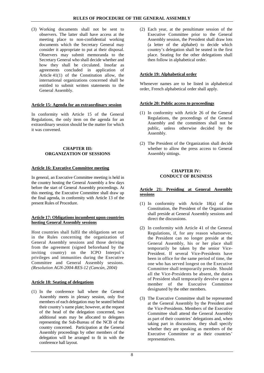(3) Working documents shall not be sent to observers. The latter shall have access at the meeting place to non-confidential working documents which the Secretary General may consider it appropriate to put at their disposal. Observers may submit memoranda to the Secretary General who shall decide whether and how they shall be circulated. Insofar as agreements concluded in application of Article 41(1) of the Constitution allow, the international organizations concerned shall be entitled to submit written statements to the General Assembly.

# <span id="page-8-0"></span>**Article 15: Agenda for an extraordinary session**

In conformity with Article 15 of the General Regulations, the only item on the agenda for an extraordinary session should be the matter for which it was convened.

#### <span id="page-8-1"></span>**CHAPTER III: ORGANIZATION OF SESSIONS**

# <span id="page-8-2"></span>**Article 16: Executive Committee meeting**

In general, an Executive Committee meeting is held in the country hosting the General Assembly a few days before the start of General Assembly proceedings. At this meeting, the Executive Committee shall draw up the final agenda, in conformity with Article 13 of the present Rules of Procedure.

#### <span id="page-8-3"></span>**Article 17: Obligations incumbent upon countries hosting General Assembly sessions**

Host countries shall fulfil the obligations set out in the Rules concerning the organization of General Assembly sessions and those deriving from the agreement (signed beforehand by the inviting country) on the ICPO Interpol's privileges and immunities during the Executive Committee and General Assembly sessions. *(Resolution AGN-2004-RES-12 (Cancún, 2004)*

#### <span id="page-8-4"></span>**Article 18: Seating of delegations**

(1) In the conference hall where the General Assembly meets in plenary session, only five members of each delegation may be seated behind their country's name plate; however, at the request of the head of the delegation concerned, two additional seats may be allocated to delegates representing the Sub-Bureau of the NCB of the country concerned. Participation at the General Assembly proceedings by other members of the delegation will be arranged to fit in with the conference hall layout.

(2) Each year, at the penultimate session of the Executive Committee prior to the General Assembly session, the President shall draw lots (a letter of the alphabet) to decide which country's delegation shall be seated in the first place. Seating for the other delegations shall then follow in alphabetical order.

# <span id="page-8-5"></span>**Article 19: Alphabetical order**

Whenever names are to be listed in alphabetical order, French alphabetical order shall apply.

# <span id="page-8-6"></span>**Article 20: Public access to proceedings**

- (1) In conformity with Article 26 of the General Regulations, the proceedings of the General Assembly and the committees shall not be public, unless otherwise decided by the Assembly.
- (2) The President of the Organization shall decide whether to allow the press access to General Assembly sittings.

#### **CHAPTER IV: CONDUCT OF BUSINESS**

#### <span id="page-8-8"></span><span id="page-8-7"></span>**Article 21: Presiding at General Assembly sessions**

- (1) In conformity with Article 18(a) of the Constitution, the President of the Organization shall preside at General Assembly sessions and direct the discussions.
- (2) In conformity with Article 41 of the General Regulations, if, for any reason whatsoever, the President can no longer preside at the General Assembly, his or her place shall temporarily be taken by the senior Vice-President. If several Vice-Presidents have been in office for the same period of time, the one who has served longest on the Executive Committee shall temporarily preside. Should all the Vice-Presidents be absent, the duties of President shall temporarily devolve upon a member of the Executive Committee designated by the other members.
- (3) The Executive Committee shall be represented at the General Assembly by the President and the Vice-Presidents. Members of the Executive Committee shall attend the General Assembly as part of their countries' delegations and, when taking part in discussions, they shall specify whether they are speaking as members of the Executive Committee or as their countries' representatives.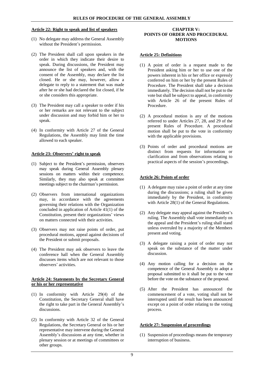#### <span id="page-9-0"></span>**Article 22: Right to speak and list of speakers**

- (1) No delegate may address the General Assembly without the President's permission.
- (2) The President shall call upon speakers in the order in which they indicate their desire to speak. During discussions, the President may announce the list of speakers and, with the consent of the Assembly, may declare the list closed. He or she may, however, allow a delegate to reply to a statement that was made after he or she had declared the list closed, if he or she considers this appropriate.
- (3) The President may call a speaker to order if his or her remarks are not relevant to the subject under discussion and may forbid him or her to speak.
- (4) In conformity with Article 27 of the General Regulations, the Assembly may limit the time allowed to each speaker.

#### <span id="page-9-1"></span>**Article 23: Observers' right to speak**

- (1) Subject to the President's permission, observers may speak during General Assembly plenary sessions on matters within their competence. Similarly, they may also speak at committee meetings subject to the chairman's permission.
- (2) Observers from international organizations may, in accordance with the agreements governing their relations with the Organization concluded in application of Article 41(1) of the Constitution, present their organizations' views on matters connected with their activities.
- (3) Observers may not raise points of order, put procedural motions, appeal against decisions of the President or submit proposals.
- (4) The President may ask observers to leave the conference hall when the General Assembly discusses items which are not relevant to those observers' activities.

# <span id="page-9-2"></span>**Article 24: Statements by the Secretary General or his or her representative**

- (1) In conformity with Article 29(4) of the Constitution, the Secretary General shall have the right to take part in the General Assembly's discussions.
- (2) In conformity with Article 32 of the General Regulations, the Secretary General or his or her representative may intervene during the General Assembly's discussions at any time, whether in plenary session or at meetings of committees or other groups.

#### <span id="page-9-3"></span>**CHAPTER V: POINTS OF ORDER AND PROCEDURAL MOTIONS**

#### <span id="page-9-4"></span>**Article 25: Definitions**

- (1) A point of order is a request made to the President asking him or her to use one of the powers inherent in his or her office or expressly conferred on him or her by the present Rules of Procedure. The President shall take a decision immediately. The decision shall not be put to the vote but shall be subject to appeal, in conformity with Article 26 of the present Rules of Procedure.
- (2) A procedural motion is any of the motions referred to under Articles 27, 28, and 29 of the present Rules of Procedure. A procedural motion shall be put to the vote in conformity with the applicable provisions.
- (3) Points of order and procedural motions are distinct from requests for information or clarification and from observations relating to practical aspects of the session's proceedings.

#### <span id="page-9-5"></span>**Article 26: Points of order**

- (1) A delegate may raise a point of order at any time during the discussions; a ruling shall be given immediately by the President, in conformity with Article 28(1) of the General Regulations.
- (2) Any delegate may appeal against the President's ruling. The Assembly shall vote immediately on the appeal and the President's ruling shall stand unless overruled by a majority of the Members present and voting.
- (3) A delegate raising a point of order may not speak on the substance of the matter under discussion.
- (4) Any motion calling for a decision on the competence of the General Assembly to adopt a proposal submitted to it shall be put to the vote before the vote on the substance of the proposal.
- (5) After the President has announced the commencement of a vote, voting shall not be interrupted until the result has been announced except on a point of order relating to the voting process.

# <span id="page-9-6"></span>**Article 27: Suspension of proceedings**

(1) Suspension of proceedings means the temporary interruption of business.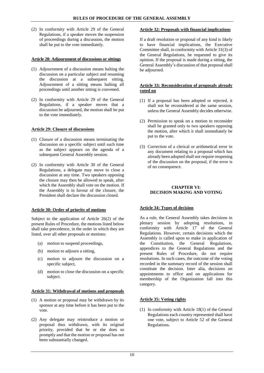(2) In conformity with Article 29 of the General Regulations, if a speaker moves the suspension of proceedings during a discussion, the motion shall be put to the vote immediately.

#### <span id="page-10-0"></span>**Article 28: Adjournment of discussions or sittings**

- (1) Adjournment of a discussion means halting the discussion on a particular subject and resuming the discussion at a subsequent sitting. Adjournment of a sitting means halting all proceedings until another sitting is convened.
- (2) In conformity with Article 29 of the General Regulations, if a speaker moves that a discussion be adjourned, the motion shall be put to the vote immediately.

# <span id="page-10-1"></span>**Article 29: Closure of discussions**

- (1) Closure of a discussion means terminating the discussion on a specific subject until such time as the subject appears on the agenda of a subsequent General Assembly session.
- (2) In conformity with Article 30 of the General Regulations, a delegate may move to close a discussion at any time. Two speakers opposing the closure may then be allowed to speak, after which the Assembly shall vote on the motion. If the Assembly is in favour of the closure, the President shall declare the discussion closed.

# <span id="page-10-2"></span>**Article 30: Order of priority of motions**

Subject to the application of Article 26(2) of the present Rules of Procedure, the motions listed below shall take precedence, in the order in which they are listed, over all other proposals or motions:

- (a) motion to suspend proceedings,
- (b) motion to adjourn a sitting,
- (c) motion to adjourn the discussion on a specific subject,
- (d) motion to close the discussion on a specific subject.

#### <span id="page-10-3"></span>**Article 31: Withdrawal of motions and proposals**

- (1) A motion or proposal may be withdrawn by its sponsor at any time before it has been put to the vote.
- (2) Any delegate may reintroduce a motion or proposal thus withdrawn, with its original priority, provided that he or she does so promptly and that the motion or proposal has not been substantially changed.

# <span id="page-10-4"></span>**Article 32: Proposals with financial implications**

If a draft resolution or proposal of any kind is likely to have financial implications, the Executive Committee shall, in conformity with Article 31(3) of the General Regulations, be requested to give its opinion. If the proposal is made during a sitting, the General Assembly's discussion of that proposal shall be adjourned.

## <span id="page-10-5"></span>**Article 33: Reconsideration of proposals already voted on**

- (1) If a proposal has been adopted or rejected, it shall not be reconsidered at the same session, unless the General Assembly decides otherwise.
- (2) Permission to speak on a motion to reconsider shall be granted only to two speakers opposing the motion, after which it shall immediately be put to the vote.
- (3) Correction of a clerical or arithmetical error in any document relating to a proposal which has already been adopted shall not require reopening of the discussion on the proposal, if the error is of no consequence.

# <span id="page-10-6"></span>**CHAPTER VI: DECISION MAKING AND VOTING**

# <span id="page-10-7"></span>**Article 34: Types of decision**

As a rule, the General Assembly takes decisions in plenary session by adopting resolutions, in conformity with Article 17 of the General Regulations. However, certain decisions which the Assembly is called upon to make in application of the Constitution, the General Regulations, appendices to the General Regulations and the present Rules of Procedure, do not require resolutions. In such cases, the outcome of the voting recorded in the summary record of the session shall constitute the decision. Inter alia, decisions on appointments to office and on applications for membership of the Organization fall into this category.

# <span id="page-10-8"></span>**Article 35: Voting rights**

(1) In conformity with Article 18(1) of the General Regulations each country represented shall have one vote, subject to Article 52 of the General Regulations.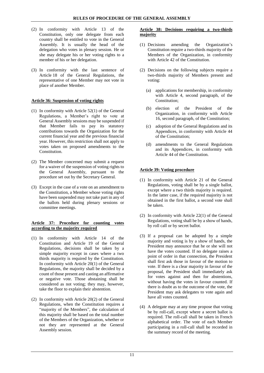- (2) In conformity with Article 13 of the Constitution, only one delegate from each country shall be entitled to vote in the General Assembly. It is usually the head of the delegation who votes in plenary session. He or she may delegate his or her voting rights to a member of his or her delegation.
- (3) In conformity with the last sentence of Article 18 of the General Regulations, the representative of one Member may not vote in place of another Member.

# <span id="page-11-0"></span>**Article 36: Suspension of voting rights**

- (1) In conformity with Article 52(1) of the General Regulations, a Member's right to vote at General Assembly sessions may be suspended if that Member fails to pay its statutory contributions towards the Organization for the current financial year and the previous financial year. However, this restriction shall not apply to votes taken on proposed amendments to the Constitution.
- (2) The Member concerned may submit a request for a waiver of the suspension of voting rights to the General Assembly, pursuant to the procedure set out by the Secretary General.
- (3) Except in the case of a vote on an amendment to the Constitution, a Member whose voting rights have been suspended may not take part in any of the ballots held during plenary sessions or committee meetings.

#### <span id="page-11-1"></span>**Article 37: Procedure for counting votes according to the majority required**

- (1) In conformity with Article 14 of the Constitution and Article 19 of the General Regulations, decisions shall be taken by a simple majority except in cases where a two thirds majority is required by the Constitution. In conformity with Article 20(1) of the General Regulations, the majority shall be decided by a count of those present and casting an affirmative or negative vote. Those abstaining shall be considered as not voting; they may, however, take the floor to explain their abstention.
- (2) In conformity with Article 20(2) of the General Regulations, when the Constitution requires a "majority of the Members", the calculation of this majority shall be based on the total number of the Members of the Organization, whether or not they are represented at the General Assembly session.

#### <span id="page-11-2"></span>**Article 38: Decisions requiring a two-thirds majority**

- (1) Decisions amending the Organization's Constitution require a two-thirds majority of the Members of the Organization, in conformity with Article 42 of the Constitution.
- (2) Decisions on the following subjects require a two-thirds majority of Members present and voting:
	- (a) applications for membership, in conformity with Article 4, second paragraph, of the Constitution;
	- (b) election of the President of the Organization, in conformity with Article 16, second paragraph, of the Constitution;
	- (c) adoption of the General Regulations and its Appendices, in conformity with Article 44 of the Constitution;
	- (d) amendments to the General Regulations and its Appendices, in conformity with Article 44 of the Constitution.

# <span id="page-11-3"></span>**Article 39: Voting procedure**

- (1) In conformity with Article 21 of the General Regulations, voting shall be by a single ballot, except where a two thirds majority is required. In the latter case, if the required majority is not obtained in the first ballot, a second vote shall be taken.
- (2) In conformity with Article 22(1) of the General Regulations, voting shall be by a show of hands, by roll call or by secret ballot.
- (3) If a proposal can be adopted by a simple majority and voting is by a show of hands, the President may announce that he or she will not have the votes counted. If no delegate raises a point of order in that connection, the President shall first ask those in favour of the motion to vote. If there is a clear majority in favour of the proposal, the President shall immediately ask for votes against and then for abstentions, without having the votes in favour counted. If there is doubt as to the outcome of the vote, the President may ask delegates to vote again and have all votes counted.
- (4) A delegate may at any time propose that voting be by roll-call, except where a secret ballot is required. The roll-call shall be taken in French alphabetical order. The vote of each Member participating in a roll-call shall be recorded in the summary record of the meeting.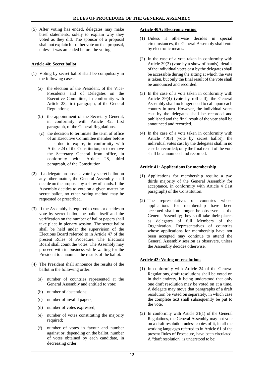(5) After voting has ended, delegates may make brief statements, solely to explain why they voted as they did. The sponsor of a proposal shall not explain his or her vote on that proposal, unless it was amended before the voting.

# <span id="page-12-0"></span>**Article 40: Secret ballot**

- (1) Voting by secret ballot shall be compulsory in the following cases:
	- (a) the election of the President, of the Vice-Presidents and of Delegates on the Executive Committee, in conformity with Article 23, first paragraph, of the General Regulations;
	- (b) the appointment of the Secretary General, in conformity with Article 42, first paragraph, of the General Regulations.
	- (c) the decision to terminate the term of office of an Executive Committee member before it is due to expire, in conformity with Article 24 of the Constitution, or to remove the Secretary General from office, in conformity with Article 28, third paragraph, of the Constitution.
- (2) If a delegate proposes a vote by secret ballot on any other matter, the General Assembly shall decide on the proposal by a show of hands. If the Assembly decides to vote on a given matter by secret ballot, no other voting method may be requested or prescribed.
- (3) If the Assembly is required to vote or decides to vote by secret ballot, the ballot itself and the verification on the number of ballot papers shall take place in plenary session. The secret ballot shall be held under the supervision of the Elections Board referred to in Article 47 of the present Rules of Procedure. The Elections Board shall count the votes. The Assembly may proceed with its business while waiting for the President to announce the results of the ballot.
- (4) The President shall announce the results of the ballot in the following order:
	- (a) number of countries represented at the General Assembly and entitled to vote;
	- (b) number of abstentions;
	- (c) number of invalid papers;
	- (d) number of votes expressed;
	- (e) number of votes constituting the majority required;
	- (f) number of votes in favour and number against or, depending on the ballot, number of votes obtained by each candidate, in decreasing order.

# <span id="page-12-1"></span>**Article 40A: Electronic voting**

- (1) Unless it otherwise decides in special circumstances, the General Assembly shall vote by electronic means.
- (2) In the case of a vote taken in conformity with Article 39(3) (vote by a show of hands), details of the individual votes cast by the delegates shall be accessible during the sitting at which the vote is taken, but only the final result of the vote shall be announced and recorded.
- (3) In the case of a vote taken in conformity with Article 39(4) (vote by roll-call), the General Assembly shall no longer need to call upon each country in turn. However, the individual votes cast by the delegates shall be recorded and published and the final result of the vote shall be announced and recorded.
- (4) In the case of a vote taken in conformity with Article 40(3) (vote by secret ballot), the individual votes cast by the delegates shall in no case be recorded; only the final result of the vote shall be announced and recorded.

# <span id="page-12-2"></span>**Article 41: Applications for membership**

- (1) Applications for membership require a two thirds majority of the General Assembly for acceptance, in conformity with Article 4 (last paragraph) of the Constitution.
- (2) The representatives of countries whose applications for membership have been accepted shall no longer be observers at the General Assembly; they shall take their places as delegates of full Members of the Organization. Representatives of countries whose applications for membership have not been accepted may continue to attend the General Assembly session as observers, unless the Assembly decides otherwise.

# <span id="page-12-3"></span>**Article 42: Voting on resolutions**

- (1) In conformity with Article 24 of the General Regulations, draft resolutions shall be voted on in their entirety, it being understood that only one draft resolution may be voted on at a time. A delegate may move that paragraphs of a draft resolution be voted on separately, in which case the complete text shall subsequently be put to the vote.
- (2) In conformity with Article 31(1) of the General Regulations, the General Assembly may not vote on a draft resolution unless copies of it, in all the working languages referred to in Article 61 of the present Rules of Procedure, have been circulated. A "draft resolution" is understood to be: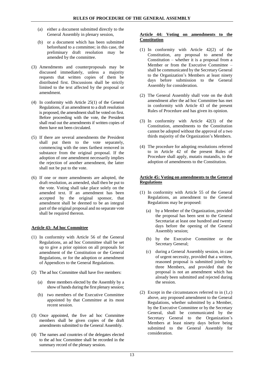- (a) either a document submitted directly to the General Assembly in plenary session,
- (b) or a document which has been submitted beforehand to a committee; in this case, the preliminary draft resolution may be amended by the committee.
- (3) Amendments and counterproposals may be discussed immediately, unless a majority requests that written copies of them be distributed first. Discussions shall be strictly limited to the text affected by the proposal or amendment.
- (4) In conformity with Article 25(1) of the General Regulations, if an amendment to a draft resolution is proposed, the amendment shall be voted on first. Before proceeding with the vote, the President shall read out the amendments if written copies of them have not been circulated.
- (5) If there are several amendments the President shall put them to the vote separately, commencing with the ones farthest removed in substance from the original proposal. If the adoption of one amendment necessarily implies the rejection of another amendment, the latter shall not be put to the vote.
- (6) If one or more amendments are adopted, the draft resolution, as amended, shall then be put to the vote. Voting shall take place solely on the amended text. If an amendment has been accepted by the original sponsor, that amendment shall be deemed to be an integral part of the original proposal and no separate vote shall be required thereon.

# <span id="page-13-0"></span>**Article 43: Ad hoc Committee**

- (1) In conformity with Article 56 of the General Regulations, an ad hoc Committee shall be set up to give a prior opinion on all proposals for amendment of the Constitution or the General Regulations, or for the adoption or amendment of Appendices to the General Regulations.
- (2) The ad hoc Committee shall have five members:
	- (a) three members elected by the Assembly by a show of hands during the first plenary session;
	- (b) two members of the Executive Committee appointed by that Committee at its most recent session.
- (3) Once appointed, the five ad hoc Committee members shall be given copies of the draft amendments submitted to the General Assembly.
- (4) The names and countries of the delegates elected to the ad hoc Committee shall be recorded in the summary record of the plenary session.

# <span id="page-13-1"></span>**Article 44: Voting on amendments to the Constitution**

- (1) In conformity with Article 42(2) of the Constitution, any proposal to amend the Constitution – whether it is a proposal from a Member or from the Executive Committee – shall be communicated by the Secretary General to the Organization's Members at least ninety days before submission to the General Assembly for consideration.
- (2) The General Assembly shall vote on the draft amendment after the ad hoc Committee has met in conformity with Article 43 of the present Rules of Procedure and has given its opinion.
- (3) In conformity with Article 42(3) of the Constitution, amendments to the Constitution cannot be adopted without the approval of a two thirds majority of the Organization's Members.
- (4) The procedure for adopting resolutions referred to in Article 42 of the present Rules of Procedure shall apply, mutatis mutandis, to the adoption of amendments to the Constitution.

# <span id="page-13-2"></span>**Article 45: Voting on amendments to the General Regulations**

- (1) In conformity with Article 55 of the General Regulations, an amendment to the General Regulations may be proposed:
	- (a) by a Member of the Organization, provided the proposal has been sent to the General Secretariat at least one hundred and twenty days before the opening of the General Assembly session;
	- (b) by the Executive Committee or the Secretary General;
	- (c) during a General Assembly session, in case of urgent necessity, provided that a written, reasoned proposal is submitted jointly by three Members, and provided that the proposal is not an amendment which has already been submitted and rejected during the session.
- (2) Except in the circumstances referred to in (1,c) above, any proposed amendment to the General Regulations, whether submitted by a Member, by the Executive Committee or by the Secretary General, shall be communicated by the Secretary General to the Organization's Members at least ninety days before being submitted to the General Assembly for consideration.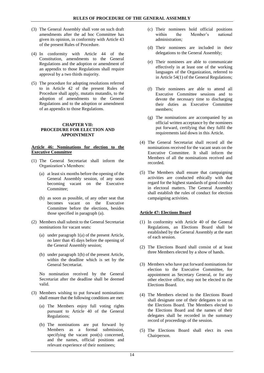- (3) The General Assembly shall vote on such draft amendments after the ad hoc Committee has given its opinion, in conformity with Article 43 of the present Rules of Procedure.
- (4) In conformity with Article 44 of the Constitution, amendments to the General Regulations and the adoption or amendment of an appendix to those Regulations shall require approval by a two thirds majority.
- (5) The procedure for adopting resolutions referred to in Article 42 of the present Rules of Procedure shall apply, mutatis mutandis, to the adoption of amendments to the General Regulations and to the adoption or amendment of an appendix to those Regulations.

#### <span id="page-14-0"></span>**CHAPTER VII: PROCEDURE FOR ELECTION AND APPOINTMENT**

# <span id="page-14-1"></span>**Article 46: Nominations for election to the Executive Committee**

- (1) The General Secretariat shall inform the Organization's Members:
	- (a) at least six months before the opening of the General Assembly session, of any seats becoming vacant on the Executive Committee;
	- (b) as soon as possible, of any other seat that becomes vacant on the Executive Committee before the elections, besides those specified in paragraph (a).
- (2) Members shall submit to the General Secretariat nominations for vacant seats:
	- (a) under paragraph 1(a) of the present Article, no later than 45 days before the opening of the General Assembly session;
	- (b) under paragraph 1(b) of the present Article, within the deadline which is set by the General Secretariat.

No nomination received by the General Secretariat after the deadline shall be deemed valid.

- (3) Members wishing to put forward nominations shall ensure that the following conditions are met:
	- (a) The Members enjoy full voting rights pursuant to Article 40 of the General Regulations;
	- (b) The nominations are put forward by Members as a formal submission, specifying the vacant post(s) concerned, and the names, official positions and relevant experience of their nominees;
- (c) Their nominees hold official positions within the Member's national administration*;*
- (d) Their nominees are included in their delegations to the General Assembly;
- (e) Their nominees are able to communicate effectively in at least one of the working languages of the Organization, referred to in Article 54(1) of the General Regulations;
- (f) Their nominees are able to attend all Executive Committee sessions and to devote the necessary time to discharging their duties as Executive Committee members;
- (g) The nominations are accompanied by an official written acceptance by the nominees put forward, certifying that they fulfil the requirements laid down in this Article.
- (4) The General Secretariat shall record all the nominations received for the vacant seats on the Executive Committee. It shall inform the Members of all the nominations received and recorded.
- (5) The Members shall ensure that campaigning activities are conducted ethically with due regard for the highest standards of good conduct in electoral matters. The General Assembly shall establish the rules of conduct for election campaigning activities.

# <span id="page-14-2"></span>**Article 47: Elections Board**

- (1) In conformity with Article 40 of the General Regulations, an Elections Board shall be established by the General Assembly at the start of each session.
- (2) The Elections Board shall consist of at least three Members elected by a show of hands.
- (3) Members who have put forward nominations for election to the Executive Committee, for appointment as Secretary General, or for any other elective office, may not be elected to the Elections Board.
- (4) The Members elected to the Elections Board shall designate one of their delegates to sit on the Elections Board. The Members elected to the Elections Board and the names of their delegates shall be recorded in the summary record of proceedings of the session.
- (5) The Elections Board shall elect its own Chairperson.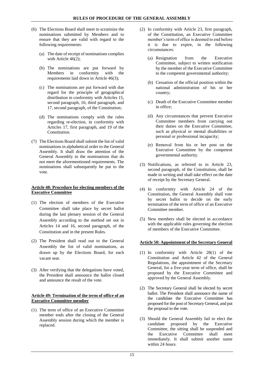- (6) The Elections Board shall meet to scrutinize the nominations submitted by Members and to ensure that they are valid with regard to the following requirements:
	- (a) The date of receipt of nominations complies with Article 46(2);
	- (b) The nominations are put forward by Members in conformity with the requirements laid down in Article 46(3);
	- (c) The nominations are put forward with due regard for the principle of geographical distribution in conformity with Articles 15, second paragraph, 16, third paragraph, and 17, second paragraph, of the Constitution;
	- (d) The nominations comply with the rules regarding re-election, in conformity with Articles 17, first paragraph, and 19 of the Constitution.
- (7) The Elections Board shall submit the list of valid nominations in alphabetical order to the General Assembly. It shall draw the attention of the General Assembly to the nominations that do not meet the aforementioned requirements. The nominations shall subsequently be put to the vote.

# <span id="page-15-0"></span>**Article 48: Procedure for electing members of the Executive Committee**

- (1) The election of members of the Executive Committee shall take place by secret ballot during the last plenary session of the General Assembly according to the method set out in Articles 14 and 16, second paragraph, of the Constitution and in the present Rules.
- (2) The President shall read out to the General Assembly the list of valid nominations, as drawn up by the Elections Board, for each vacant seat.
- (3) After verifying that the delegations have voted, the President shall announce the ballot closed and announce the result of the vote.

# <span id="page-15-1"></span>**Article 49: Termination of the term of office of an Executive Committee member**

(1) The term of office of an Executive Committee member ends after the closing of the General Assembly session during which the member is replaced.

- (2) In conformity with Article 23, first paragraph, of the Constitution, an Executive Committee member's term of office is deemed to end before it is due to expire, in the following circumstances:
	- (a) Resignation from the Executive Committee, subject to written notification by the member of the Executive Committee to the competent governmental authority;
	- (b) Cessation of the official position within the national administration of his or her country;
	- (c) Death of the Executive Committee member in office;
	- (d) Any circumstances that prevent Executive Committee members from carrying out their duties on the Executive Committee, such as physical or mental disabilities or personal or professional incapacity;
	- (e) Removal from his or her post on the Executive Committee by the competent governmental authority.
- (3) Notifications, as referred to in Article 23, second paragraph, of the Constitution, shall be made in writing and shall take effect on the date of receipt by the Secretary General.
- (4) In conformity with Article 24 of the Constitution, the General Assembly shall vote by secret ballot to decide on the early termination of the term of office of an Executive Committee member.
- (5) New members shall be elected in accordance with the applicable rules governing the election of members of the Executive Committee.

# <span id="page-15-2"></span>**Article 50: Appointment of the Secretary General**

- (1) In conformity with Article 28(1) of the Constitution and Article 42 of the General Regulations, the appointment of the Secretary General, for a five-year term of office, shall be proposed by the Executive Committee and approved by the General Assembly.
- (2) The Secretary General shall be elected by secret ballot. The President shall announce the name of the candidate the Executive Committee has proposed for the post of Secretary General, and put the proposal to the vote.
- (3) Should the General Assembly fail to elect the candidate proposed by the Executive Committee, the sitting shall be suspended and the Executive Committee shall meet immediately. It shall submit another name within 24 hours.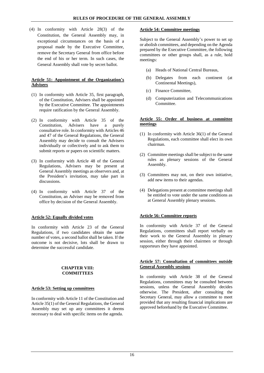(4) In conformity with Article 28(3) of the Constitution, the General Assembly may, in exceptional circumstances on the basis of a proposal made by the Executive Committee, remove the Secretary General from office before the end of his or her term. In such cases, the General Assembly shall vote by secret ballot.

## <span id="page-16-0"></span>**Article 51: Appointment of the Organization's Advisers**

- (1) In conformity with Article 35, first paragraph, of the Constitution, Advisers shall be appointed by the Executive Committee. The appointments require ratification by the General Assembly.
- (2) In conformity with Article 35 of the Constitution, Advisers have a purely consultative role. In conformity with Articles 46 and 47 of the General Regulations, the General Assembly may decide to consult the Advisers individually or collectively and to ask them to submit reports or papers on scientific matters.
- (3) In conformity with Article 48 of the General Regulations, Advisers may be present at General Assembly meetings as observers and, at the President's invitation, may take part in discussions.
- (4) In conformity with Article 37 of the Constitution, an Adviser may be removed from office by decision of the General Assembly.

#### <span id="page-16-1"></span>**Article 52: Equally divided votes**

In conformity with Article 23 of the General Regulations, if two candidates obtain the same number of votes, a second ballot shall be taken. If the outcome is not decisive, lots shall be drawn to determine the successful candidate.

# **CHAPTER VIII: COMMITTEES**

#### <span id="page-16-3"></span><span id="page-16-2"></span>**Article 53: Setting up committees**

In conformity with Article 11 of the Constitution and Article 35(1) of the General Regulations, the General Assembly may set up any committees it deems necessary to deal with specific items on the agenda.

#### <span id="page-16-4"></span>**Article 54: Committee meetings**

Subject to the General Assembly's power to set up or abolish committees, and depending on the Agenda prepared by the Executive Committee, the following committees or other groups shall, as a rule, hold meetings:

- (a) Heads of National Central Bureaus,
- (b) Delegates from each continent (at Continental Meetings),
- (c) Finance Committee,
- (d) Computerization and Telecommunications Committee.

#### <span id="page-16-5"></span>**Article 55: Order of business at committee meetings**

- (1) In conformity with Article 36(1) of the General Regulations, each committee shall elect its own chairman.
- (2) Committee meetings shall be subject to the same rules as plenary sessions of the General Assembly.
- (3) Committees may not, on their own initiative, add new items to their agendas.
- (4) Delegations present at committee meetings shall be entitled to vote under the same conditions as at General Assembly plenary sessions.

#### <span id="page-16-6"></span>**Article 56: Committee reports**

In conformity with Article 37 of the General Regulations, committees shall report verbally on their work to the General Assembly in plenary session, either through their chairmen or through rapporteurs they have appointed.

# <span id="page-16-7"></span>**Article 57: Consultation of committees outside General Assembly sessions**

In conformity with Article 38 of the General Regulations, committees may be consulted between sessions, unless the General Assembly decides otherwise. The President, after consulting the Secretary General, may allow a committee to meet provided that any resulting financial implications are approved beforehand by the Executive Committee.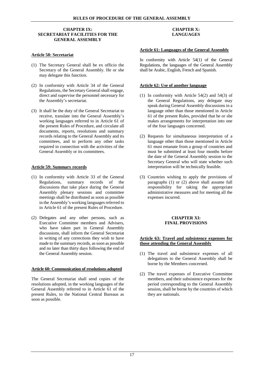#### <span id="page-17-0"></span>**CHAPTER IX: SECRETARIAT FACILITIES FOR THE GENERAL ASSEMBLY**

# <span id="page-17-1"></span>**Article 58: Secretariat**

- (1) The Secretary General shall be ex officio the Secretary of the General Assembly. He or she may delegate this function.
- (2) In conformity with Article 34 of the General Regulations, the Secretary General shall engage, direct and supervise the personnel necessary for the Assembly's secretariat.
- (3) It shall be the duty of the General Secretariat to receive, translate into the General Assembly's working languages referred to in Article 61 of the present Rules of Procedure, and circulate all documents, reports, resolutions and summary records relating to the General Assembly and its committees, and to perform any other tasks required in connection with the activities of the General Assembly or its committees.

# <span id="page-17-2"></span>**Article 59: Summary records**

- (1) In conformity with Article 33 of the General Regulations, summary records of the discussions that take place during the General Assembly plenary sessions and committee meetings shall be distributed as soon as possible in the Assembly's working languages referred to in Article 61 of the present Rules of Procedure.
- (2) Delegates and any other persons, such as Executive Committee members and Advisers, who have taken part in General Assembly discussions, shall inform the General Secretariat in writing of any corrections they wish to have made to the summary records, as soon as possible and no later than thirty days following the end of the General Assembly session.

#### <span id="page-17-3"></span>**Article 60: Communication of resolutions adopted**

The General Secretariat shall send copies of the resolutions adopted, in the working languages of the General Assembly referred to in Article 61 of the present Rules, to the National Central Bureaus as soon as possible.

# **CHAPTER X: LANGUAGES**

# <span id="page-17-5"></span><span id="page-17-4"></span>**Article 61: Languages of the General Assembly**

In conformity with Article 54(1) of the General Regulations, the languages of the General Assembly shall be Arabic, English, French and Spanish.

# <span id="page-17-6"></span>**Article 62: Use of another language**

- (1) In conformity with Article 54(2) and 54(3) of the General Regulations, any delegate may speak during General Assembly discussions in a language other than those mentioned in Article 61 of the present Rules, provided that he or she makes arrangements for interpretation into one of the four languages concerned.
- (2) Requests for simultaneous interpretation of a language other than those mentioned in Article 61 must emanate from a group of countries and must be submitted at least four months before the date of the General Assembly session to the Secretary General who will state whether such interpretation will be technically feasible.
- (3) Countries wishing to apply the provisions of paragraphs (1) or (2) above shall assume full responsibility for taking the appropriate administrative measures and for meeting all the expenses incurred.

# **CHAPTER XI: FINAL PROVISIONS**

#### <span id="page-17-8"></span><span id="page-17-7"></span>**Article 63: Travel and subsistence expenses for those attending the General Assembly**

- (1) The travel and subsistence expenses of all delegations to the General Assembly shall be borne by the Members concerned.
- (2) The travel expenses of Executive Committee members, and their subsistence expenses for the period corresponding to the General Assembly session, shall be borne by the countries of which they are nationals.